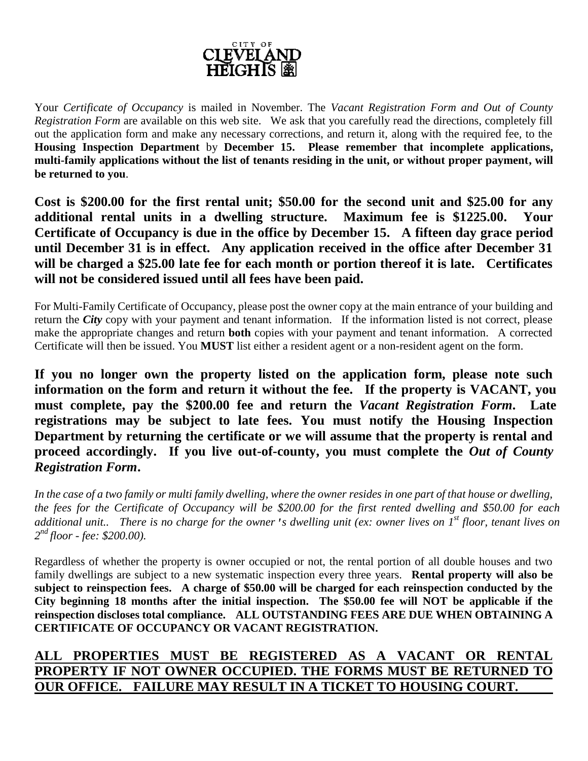

Your *Certificate of Occupancy* is mailed in November. The *Vacant Registration Form and Out of County Registration Form* are available on this web site. We ask that you carefully read the directions, completely fill out the application form and make any necessary corrections, and return it, along with the required fee, to the **Housing Inspection Department** by **December 15. Please remember that incomplete applications, multi-family applications without the list of tenants residing in the unit, or without proper payment, will be returned to you**.

**Cost is \$200.00 for the first rental unit; \$50.00 for the second unit and \$25.00 for any additional rental units in a dwelling structure. Maximum fee is \$1225.00. Your Certificate of Occupancy is due in the office by December 15. A fifteen day grace period until December 31 is in effect. Any application received in the office after December 31 will be charged a \$25.00 late fee for each month or portion thereof it is late. Certificates will not be considered issued until all fees have been paid.** 

For Multi-Family Certificate of Occupancy, please post the owner copy at the main entrance of your building and return the *City* copy with your payment and tenant information. If the information listed is not correct, please make the appropriate changes and return **both** copies with your payment and tenant information. A corrected Certificate will then be issued. You **MUST** list either a resident agent or a non-resident agent on the form.

**If you no longer own the property listed on the application form, please note such information on the form and return it without the fee. If the property is VACANT, you must complete, pay the \$200.00 fee and return the** *Vacant Registration Form***. Late registrations may be subject to late fees. You must notify the Housing Inspection Department by returning the certificate or we will assume that the property is rental and proceed accordingly. If you live out-of-county, you must complete the** *Out of County Registration Form***.** 

*In the case of a two family or multi family dwelling, where the owner resides in one part of that house or dwelling, the fees for the Certificate of Occupancy will be \$200.00 for the first rented dwelling and \$50.00 for each additional unit.. There is no charge for the owner's dwelling unit (ex: owner lives on 1st floor, tenant lives on 2 nd floor - fee: \$200.00).*

Regardless of whether the property is owner occupied or not, the rental portion of all double houses and two family dwellings are subject to a new systematic inspection every three years. **Rental property will also be subject to reinspection fees. A charge of \$50.00 will be charged for each reinspection conducted by the City beginning 18 months after the initial inspection. The \$50.00 fee will NOT be applicable if the reinspection discloses total compliance. ALL OUTSTANDING FEES ARE DUE WHEN OBTAINING A CERTIFICATE OF OCCUPANCY OR VACANT REGISTRATION.** 

# **ALL PROPERTIES MUST BE REGISTERED AS A VACANT OR RENTAL PROPERTY IF NOT OWNER OCCUPIED. THE FORMS MUST BE RETURNED TO OUR OFFICE. FAILURE MAY RESULT IN A TICKET TO HOUSING COURT.**